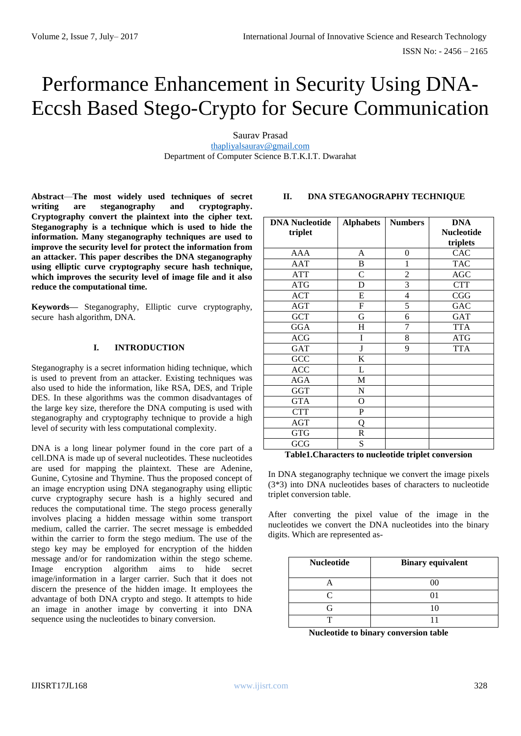# Performance Enhancement in Security Using DNA-Eccsh Based Stego-Crypto for Secure Communication

Saurav Prasad [thapliyalsaurav@gmail.com](mailto:thapliyalsaurav@gmail.com) Department of Computer Science B.T.K.I.T. Dwarahat

**Abstract**—**The most widely used techniques of secret writing are steganography and cryptography. Cryptography convert the plaintext into the cipher text. Steganography is a technique which is used to hide the information. Many steganography techniques are used to improve the security level for protect the information from an attacker. This paper describes the DNA steganography using elliptic curve cryptography secure hash technique, which improves the security level of image file and it also reduce the computational time.**

**Keywords—** Steganography, Elliptic curve cryptography, secure hash algorithm, DNA.

## **I. INTRODUCTION**

Steganography is a secret information hiding technique, which is used to prevent from an attacker. Existing techniques was also used to hide the information, like RSA, DES, and Triple DES. In these algorithms was the common disadvantages of the large key size, therefore the DNA computing is used with steganography and cryptography technique to provide a high level of security with less computational complexity.

DNA is a long linear polymer found in the core part of a cell.DNA is made up of several nucleotides. These nucleotides are used for mapping the plaintext. These are Adenine, Gunine, Cytosine and Thymine. Thus the proposed concept of an image encryption using DNA steganography using elliptic curve cryptography secure hash is a highly secured and reduces the computational time. The stego process generally involves placing a hidden message within some transport medium, called the carrier. The secret message is embedded within the carrier to form the stego medium. The use of the stego key may be employed for encryption of the hidden message and/or for randomization within the stego scheme. Image encryption algorithm aims to hide secret image/information in a larger carrier. Such that it does not discern the presence of the hidden image. It employees the advantage of both DNA crypto and stego. It attempts to hide an image in another image by converting it into DNA sequence using the nucleotides to binary conversion.

# **II. DNA STEGANOGRAPHY TECHNIQUE**

| <b>DNA Nucleotide</b><br>triplet | <b>Alphabets</b> | <b>Numbers</b> | <b>DNA</b><br><b>Nucleotide</b><br>triplets |
|----------------------------------|------------------|----------------|---------------------------------------------|
| AAA                              | A                | 0              | CAC                                         |
| <b>AAT</b>                       | B                | 1              | <b>TAC</b>                                  |
| <b>ATT</b>                       | C                | $\overline{c}$ | <b>AGC</b>                                  |
| <b>ATG</b>                       | D                | 3              | <b>CTT</b>                                  |
| <b>ACT</b>                       | E                | $\overline{4}$ | CGG                                         |
| <b>AGT</b>                       | $\mathbf F$      | 5              | <b>GAC</b>                                  |
| <b>GCT</b>                       | G                | 6              | <b>GAT</b>                                  |
| <b>GGA</b>                       | H                | 7              | <b>TTA</b>                                  |
| <b>ACG</b>                       | Ī                | 8              | <b>ATG</b>                                  |
| <b>GAT</b>                       | J                | 9              | <b>TTA</b>                                  |
| GCC                              | K                |                |                                             |
| <b>ACC</b>                       | L                |                |                                             |
| <b>AGA</b>                       | M                |                |                                             |
| <b>GGT</b>                       | N                |                |                                             |
| <b>GTA</b>                       | O                |                |                                             |
| <b>CTT</b>                       | P                |                |                                             |
| <b>AGT</b>                       | Q                |                |                                             |
| <b>GTG</b>                       | $\mathbb{R}$     |                |                                             |
| GCG                              | S                |                |                                             |

**Table1.Characters to nucleotide triplet conversion**

In DNA steganography technique we convert the image pixels (3\*3) into DNA nucleotides bases of characters to nucleotide triplet conversion table.

After converting the pixel value of the image in the nucleotides we convert the DNA nucleotides into the binary digits. Which are represented as-

| <b>Nucleotide</b> | <b>Binary equivalent</b> |
|-------------------|--------------------------|
|                   | ററ                       |
|                   |                          |
|                   |                          |
|                   |                          |

**Nucleotide to binary conversion table**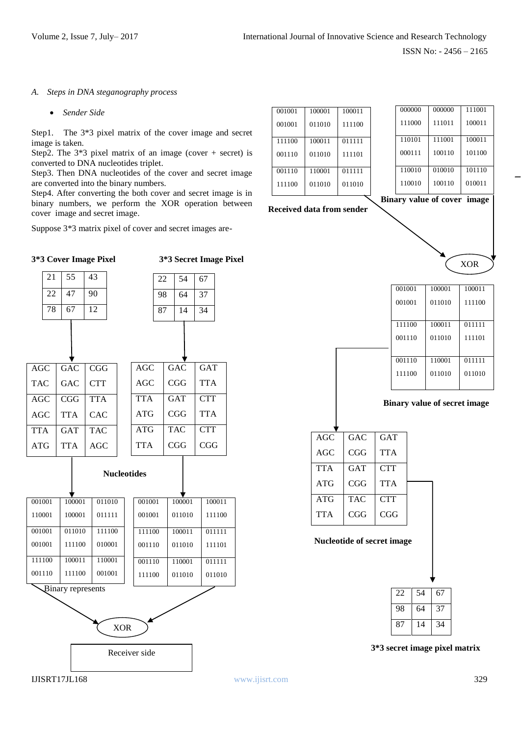#### *A. Steps in DNA steganography process*

*Sender Side*

 $21 \mid 55 \mid 43$ 

Step1.The 3\*3 pixel matrix of the cover image and secret image is taken.

Step2. The  $3*3$  pixel matrix of an image (cover + secret) is converted to DNA nucleotides triplet.

Step3. Then DNA nucleotides of the cover and secret image are converted into the binary numbers.

Step4. After converting the both cover and secret image is in binary numbers, we perform the XOR operation between cover image and secret image.

Suppose 3\*3 matrix pixel of cover and secret images are-

**3\*3 Cover Image Pixel 3\*3 Secret Image Pixel**

| 001001 | 100001 | 100011 | 00000            |
|--------|--------|--------|------------------|
| 001001 | 011010 | 111100 | 11100            |
| 111100 | 100011 | 011111 | 11010            |
| 001110 | 011010 | 111101 | 0001             |
| 001110 | 110001 | 011111 | 1100             |
| 111100 | 011010 | 011010 | 1100             |
|        |        |        | <b>Binary</b> va |

**Received data from sender**



XOR



| AGC        | <b>GAC</b> | <b>GAT</b> |  |
|------------|------------|------------|--|
| AGC        | <b>CGG</b> | <b>TTA</b> |  |
| <b>TTA</b> | <b>GAT</b> | <b>CTT</b> |  |
| ATG        | CGG        | <b>TTA</b> |  |
| ATG        | <b>TAC</b> | <b>CTT</b> |  |
| <b>TTA</b> | CGG        | CGG        |  |

#### **Nucleotide of secret image**

| 22 | 54 | 67 |
|----|----|----|
| 98 | 64 | 37 |
| 87 | 14 | 34 |

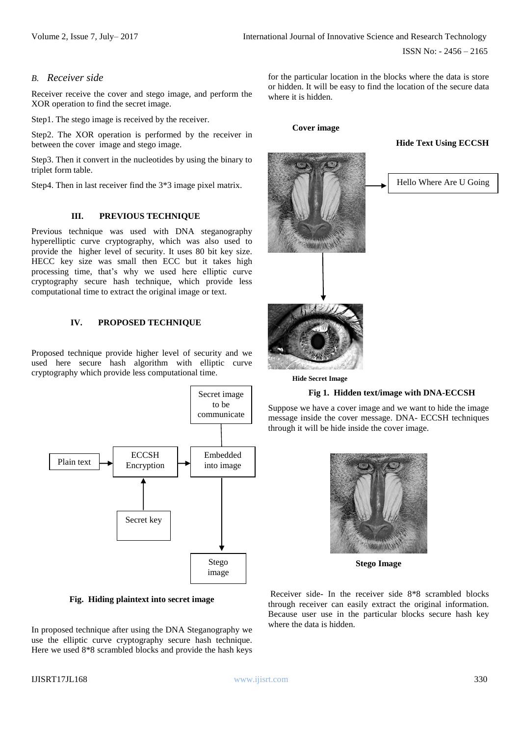ISSN No: - 2456 – 2165

#### *B. Receiver side*

Receiver receive the cover and stego image, and perform the XOR operation to find the secret image.

Step1. The stego image is received by the receiver.

Step2. The XOR operation is performed by the receiver in between the cover image and stego image.

Step3. Then it convert in the nucleotides by using the binary to triplet form table.

Step4. Then in last receiver find the 3\*3 image pixel matrix.

#### **III. PREVIOUS TECHNIQUE**

Previous technique was used with DNA steganography hyperelliptic curve cryptography, which was also used to provide the higher level of security. It uses 80 bit key size. HECC key size was small then ECC but it takes high processing time, that's why we used here elliptic curve cryptography secure hash technique, which provide less computational time to extract the original image or text.

#### **IV. PROPOSED TECHNIQUE**

Proposed technique provide higher level of security and we used here secure hash algorithm with elliptic curve cryptography which provide less computational time.



**Fig. Hiding plaintext into secret image**

In proposed technique after using the DNA Steganography we use the elliptic curve cryptography secure hash technique. Here we used 8\*8 scrambled blocks and provide the hash keys

for the particular location in the blocks where the data is store or hidden. It will be easy to find the location of the secure data where it is hidden.

#### **Cover image**

#### **Hide Text Using ECCSH**



**Hide Secret Image**

#### **Fig 1. Hidden text/image with DNA-ECCSH**

Suppose we have a cover image and we want to hide the image message inside the cover message. DNA- ECCSH techniques through it will be hide inside the cover image.



 **Stego Image**

Receiver side- In the receiver side 8\*8 scrambled blocks through receiver can easily extract the original information. Because user use in the particular blocks secure hash key where the data is hidden.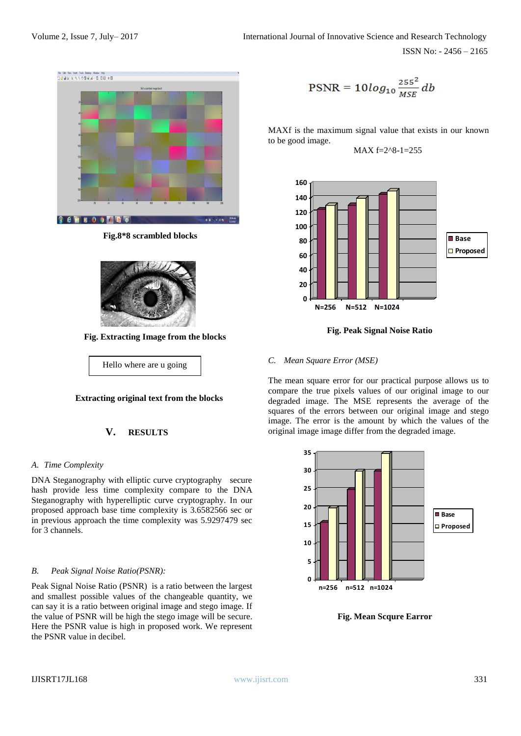

 **Fig.8\*8 scrambled blocks**



 **Fig. Extracting Image from the blocks**

Hello where are u going

## **Extracting original text from the blocks**

## **V. RESULTS**

## *A. Time Complexity*

DNA Steganography with elliptic curve cryptography secure hash provide less time complexity compare to the DNA Steganography with hyperelliptic curve cryptography. In our proposed approach base time complexity is 3.6582566 sec or in previous approach the time complexity was 5.9297479 sec for 3 channels.

#### *B. Peak Signal Noise Ratio(PSNR):*

Peak Signal Noise Ratio (PSNR) is a ratio between the largest and smallest possible values of the changeable quantity, we can say it is a ratio between original image and stego image. If the value of PSNR will be high the stego image will be secure. Here the PSNR value is high in proposed work. We represent the PSNR value in decibel.

$$
PSNR = 10log_{10}\frac{255^2}{MSE}db
$$

MAXf is the maximum signal value that exists in our known to be good image.

 $MAX f=2.8-1=255$ 



**Fig. Peak Signal Noise Ratio**

## *C. Mean Square Error (MSE)*

The mean square error for our practical purpose allows us to compare the true pixels values of our original image to our degraded image. The MSE represents the average of the squares of the errors between our original image and stego image. The error is the amount by which the values of the original image image differ from the degraded image.



**Fig. Mean Scqure Earror**